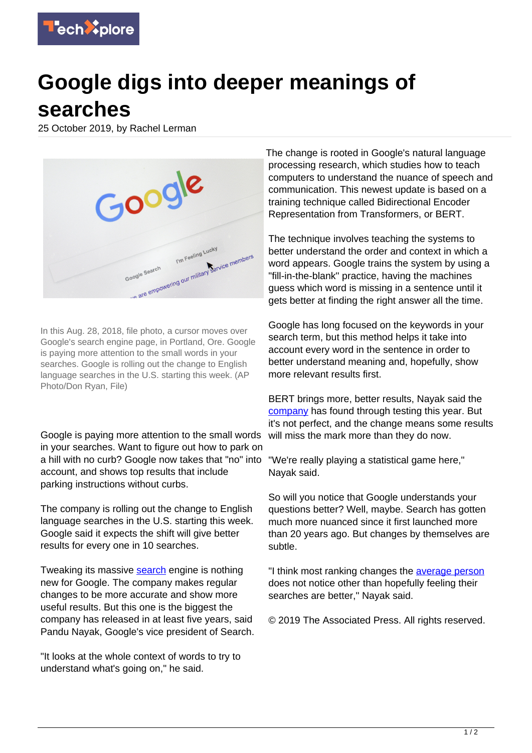

## **Google digs into deeper meanings of searches**

25 October 2019, by Rachel Lerman



In this Aug. 28, 2018, file photo, a cursor moves over Google's search engine page, in Portland, Ore. Google is paying more attention to the small words in your searches. Google is rolling out the change to English language searches in the U.S. starting this week. (AP Photo/Don Ryan, File)

Google is paying more attention to the small words in your searches. Want to figure out how to park on a hill with no curb? Google now takes that "no" into account, and shows top results that include parking instructions without curbs.

The company is rolling out the change to English language searches in the U.S. starting this week. Google said it expects the shift will give better results for every one in 10 searches.

Tweaking its massive **search** engine is nothing new for Google. The company makes regular changes to be more accurate and show more useful results. But this one is the biggest the company has released in at least five years, said Pandu Nayak, Google's vice president of Search.

"It looks at the whole context of words to try to understand what's going on," he said.

The change is rooted in Google's natural language processing research, which studies how to teach computers to understand the nuance of speech and communication. This newest update is based on a training technique called Bidirectional Encoder Representation from Transformers, or BERT.

The technique involves teaching the systems to better understand the order and context in which a word appears. Google trains the system by using a "fill-in-the-blank" practice, having the machines guess which word is missing in a sentence until it gets better at finding the right answer all the time.

Google has long focused on the keywords in your search term, but this method helps it take into account every word in the sentence in order to better understand meaning and, hopefully, show more relevant results first.

BERT brings more, better results, Nayak said the [company](https://techxplore.com/tags/company/) has found through testing this year. But it's not perfect, and the change means some results will miss the mark more than they do now.

"We're really playing a statistical game here," Nayak said.

So will you notice that Google understands your questions better? Well, maybe. Search has gotten much more nuanced since it first launched more than 20 years ago. But changes by themselves are subtle.

"I think most ranking changes the [average person](https://techxplore.com/tags/average+person/) does not notice other than hopefully feeling their searches are better," Nayak said.

© 2019 The Associated Press. All rights reserved.